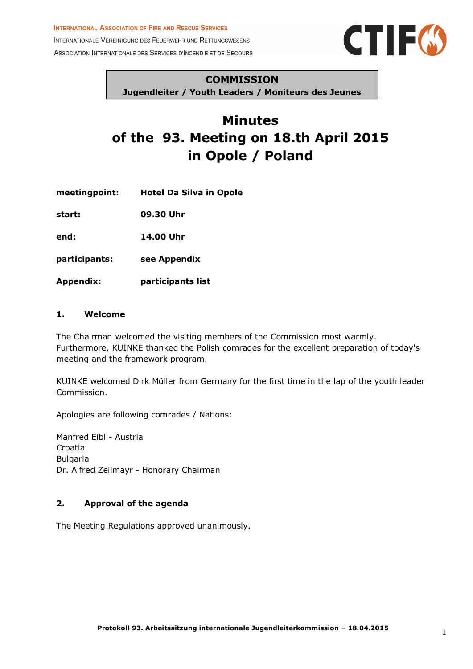#### **INTERNATIONAL ASSOCIATION OF FIRE AND RESCUE SERVICES**

INTERNATIONALE VEREINIGUNG DES FEUERWEHR UND RETTUNGSWESENS ASSOCIATION INTERNATIONALE DES SERVICES D'INCENDIE ET DE SECOURS



#### **COMMISSION**

**Jugendleiter / Youth Leaders / Moniteurs des Jeunes**

# **Minutes of the 93. Meeting on 18.th April 2015 in Opole / Poland**

**meetingpoint: Hotel Da Silva in Opole**

**start: 09.30 Uhr**

**end: 14.00 Uhr**

- **participants: see Appendix**
- **Appendix: participants list**

#### **1. Welcome**

The Chairman welcomed the visiting members of the Commission most warmly. Furthermore, KUINKE thanked the Polish comrades for the excellent preparation of today's meeting and the framework program.

KUINKE welcomed Dirk Müller from Germany for the first time in the lap of the youth leader Commission.

Apologies are following comrades / Nations:

Manfred Eibl - Austria Croatia Bulgaria Dr. Alfred Zeilmayr - Honorary Chairman

### **2. Approval of the agenda**

The Meeting Regulations approved unanimously.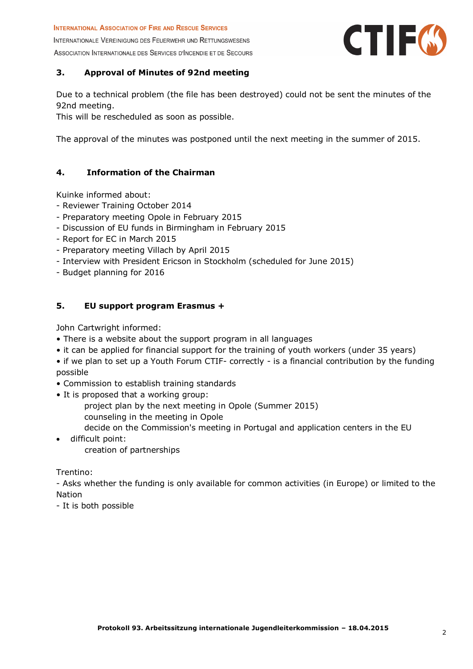INTERNATIONALE VEREINIGUNG DES FEUERWEHR UND RETTUNGSWESENS ASSOCIATION INTERNATIONALE DES SERVICES D'INCENDIE ET DE SECOURS



# **3. Approval of Minutes of 92nd meeting**

Due to a technical problem (the file has been destroyed) could not be sent the minutes of the 92nd meeting.

This will be rescheduled as soon as possible.

The approval of the minutes was postponed until the next meeting in the summer of 2015.

# **4. Information of the Chairman**

Kuinke informed about:

- Reviewer Training October 2014
- Preparatory meeting Opole in February 2015
- Discussion of EU funds in Birmingham in February 2015
- Report for EC in March 2015
- Preparatory meeting Villach by April 2015
- Interview with President Ericson in Stockholm (scheduled for June 2015)
- Budget planning for 2016

# **5. EU support program Erasmus +**

John Cartwright informed:

- There is a website about the support program in all languages
- it can be applied for financial support for the training of youth workers (under 35 years)
- if we plan to set up a Youth Forum CTIF- correctly is a financial contribution by the funding possible
- Commission to establish training standards
- It is proposed that a working group:
	- project plan by the next meeting in Opole (Summer 2015)
	- counseling in the meeting in Opole
		- decide on the Commission's meeting in Portugal and application centers in the EU
- difficult point:

creation of partnerships

Trentino:

- Asks whether the funding is only available for common activities (in Europe) or limited to the Nation

- It is both possible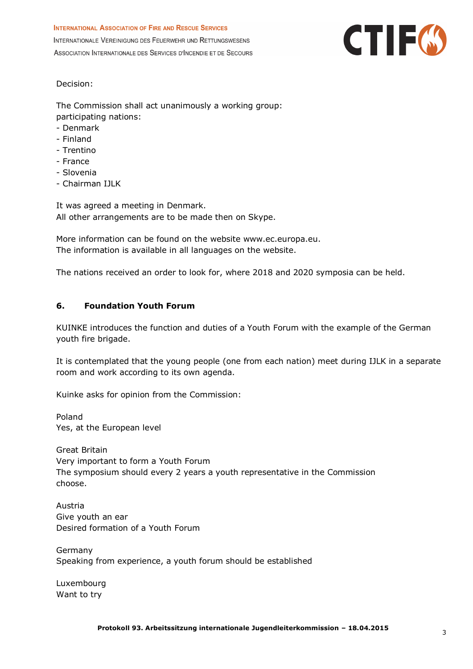

Decision:

The Commission shall act unanimously a working group: participating nations:

- Denmark
- Finland
- Trentino
- France
- Slovenia
- Chairman IJLK

It was agreed a meeting in Denmark. All other arrangements are to be made then on Skype.

More information can be found on the website www.ec.europa.eu. The information is available in all languages on the website.

The nations received an order to look for, where 2018 and 2020 symposia can be held.

#### **6. Foundation Youth Forum**

KUINKE introduces the function and duties of a Youth Forum with the example of the German youth fire brigade.

It is contemplated that the young people (one from each nation) meet during IJLK in a separate room and work according to its own agenda.

Kuinke asks for opinion from the Commission:

Poland Yes, at the European level

Great Britain Very important to form a Youth Forum The symposium should every 2 years a youth representative in the Commission choose.

Austria Give youth an ear Desired formation of a Youth Forum

Germany Speaking from experience, a youth forum should be established

Luxembourg Want to try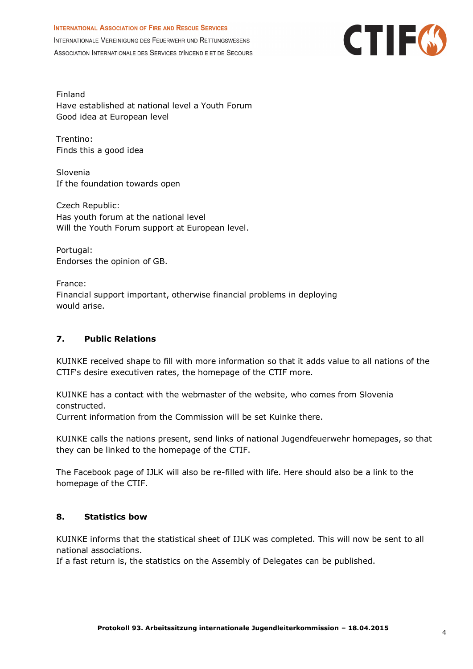

Finland Have established at national level a Youth Forum Good idea at European level

Trentino: Finds this a good idea

Slovenia If the foundation towards open

Czech Republic: Has youth forum at the national level Will the Youth Forum support at European level.

Portugal: Endorses the opinion of GB.

France: Financial support important, otherwise financial problems in deploying would arise.

# **7. Public Relations**

KUINKE received shape to fill with more information so that it adds value to all nations of the CTIF's desire executiven rates, the homepage of the CTIF more.

KUINKE has a contact with the webmaster of the website, who comes from Slovenia constructed.

Current information from the Commission will be set Kuinke there.

KUINKE calls the nations present, send links of national Jugendfeuerwehr homepages, so that they can be linked to the homepage of the CTIF.

The Facebook page of IJLK will also be re-filled with life. Here should also be a link to the homepage of the CTIF.

#### **8. Statistics bow**

KUINKE informs that the statistical sheet of IJLK was completed. This will now be sent to all national associations.

If a fast return is, the statistics on the Assembly of Delegates can be published.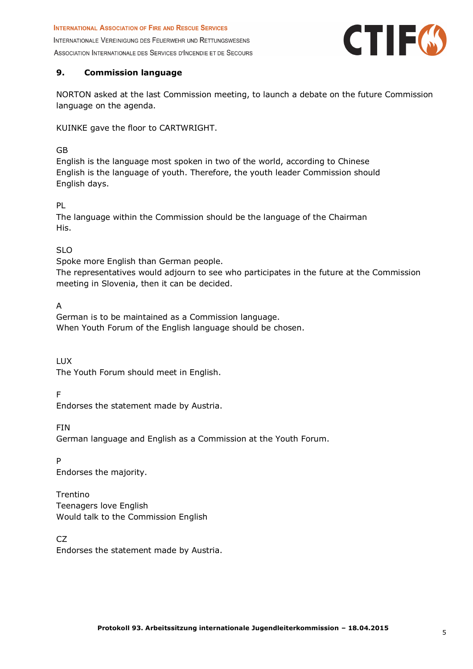

# **9. Commission language**

NORTON asked at the last Commission meeting, to launch a debate on the future Commission language on the agenda.

KUINKE gave the floor to CARTWRIGHT.

#### GB

English is the language most spoken in two of the world, according to Chinese English is the language of youth. Therefore, the youth leader Commission should English days.

# PL

The language within the Commission should be the language of the Chairman His.

# SLO

Spoke more English than German people.

The representatives would adjourn to see who participates in the future at the Commission meeting in Slovenia, then it can be decided.

A

German is to be maintained as a Commission language. When Youth Forum of the English language should be chosen.

LUX

The Youth Forum should meet in English.

F

Endorses the statement made by Austria.

FIN

German language and English as a Commission at the Youth Forum.

P

Endorses the majority.

Trentino Teenagers love English Would talk to the Commission English

CZ

Endorses the statement made by Austria.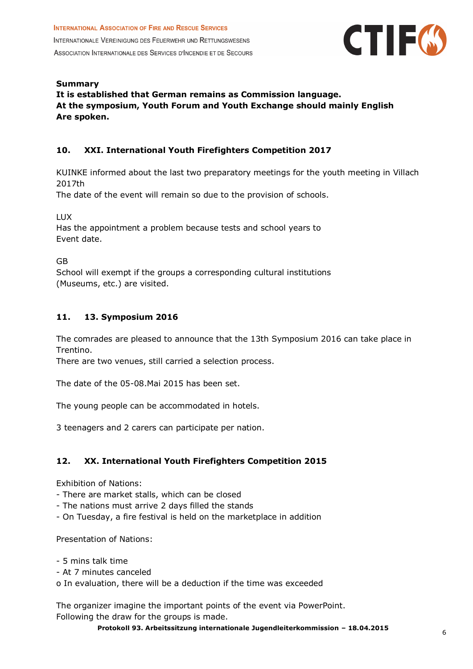

**Summary It is established that German remains as Commission language. At the symposium, Youth Forum and Youth Exchange should mainly English Are spoken.**

# **10. XXI. International Youth Firefighters Competition 2017**

KUINKE informed about the last two preparatory meetings for the youth meeting in Villach 2017th

The date of the event will remain so due to the provision of schools.

LUX

Has the appointment a problem because tests and school years to Event date.

GB

School will exempt if the groups a corresponding cultural institutions (Museums, etc.) are visited.

#### **11. 13. Symposium 2016**

The comrades are pleased to announce that the 13th Symposium 2016 can take place in Trentino.

There are two venues, still carried a selection process.

The date of the 05-08.Mai 2015 has been set.

The young people can be accommodated in hotels.

3 teenagers and 2 carers can participate per nation.

# **12. XX. International Youth Firefighters Competition 2015**

Exhibition of Nations:

- There are market stalls, which can be closed
- The nations must arrive 2 days filled the stands
- On Tuesday, a fire festival is held on the marketplace in addition

Presentation of Nations:

- 5 mins talk time
- At 7 minutes canceled
- o In evaluation, there will be a deduction if the time was exceeded

The organizer imagine the important points of the event via PowerPoint. Following the draw for the groups is made.